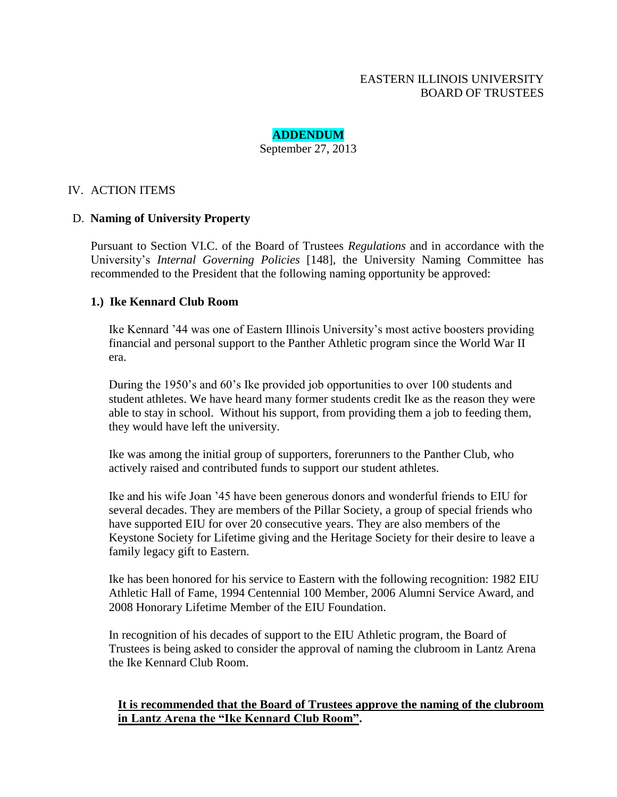# EASTERN ILLINOIS UNIVERSITY BOARD OF TRUSTEES

# **ADDENDUM**

September 27, 2013

# IV. ACTION ITEMS

## D. **Naming of University Property**

Pursuant to Section VI.C. of the Board of Trustees *Regulations* and in accordance with the University's *Internal Governing Policies* [148], the University Naming Committee has recommended to the President that the following naming opportunity be approved:

## **1.) Ike Kennard Club Room**

Ike Kennard '44 was one of Eastern Illinois University's most active boosters providing financial and personal support to the Panther Athletic program since the World War II era.

During the 1950's and 60's Ike provided job opportunities to over 100 students and student athletes. We have heard many former students credit Ike as the reason they were able to stay in school. Without his support, from providing them a job to feeding them, they would have left the university.

Ike was among the initial group of supporters, forerunners to the Panther Club, who actively raised and contributed funds to support our student athletes.

Ike and his wife Joan '45 have been generous donors and wonderful friends to EIU for several decades. They are members of the Pillar Society, a group of special friends who have supported EIU for over 20 consecutive years. They are also members of the Keystone Society for Lifetime giving and the Heritage Society for their desire to leave a family legacy gift to Eastern.

Ike has been honored for his service to Eastern with the following recognition: 1982 EIU Athletic Hall of Fame, 1994 Centennial 100 Member, 2006 Alumni Service Award, and 2008 Honorary Lifetime Member of the EIU Foundation.

In recognition of his decades of support to the EIU Athletic program, the Board of Trustees is being asked to consider the approval of naming the clubroom in Lantz Arena the Ike Kennard Club Room.

## **It is recommended that the Board of Trustees approve the naming of the clubroom in Lantz Arena the "Ike Kennard Club Room".**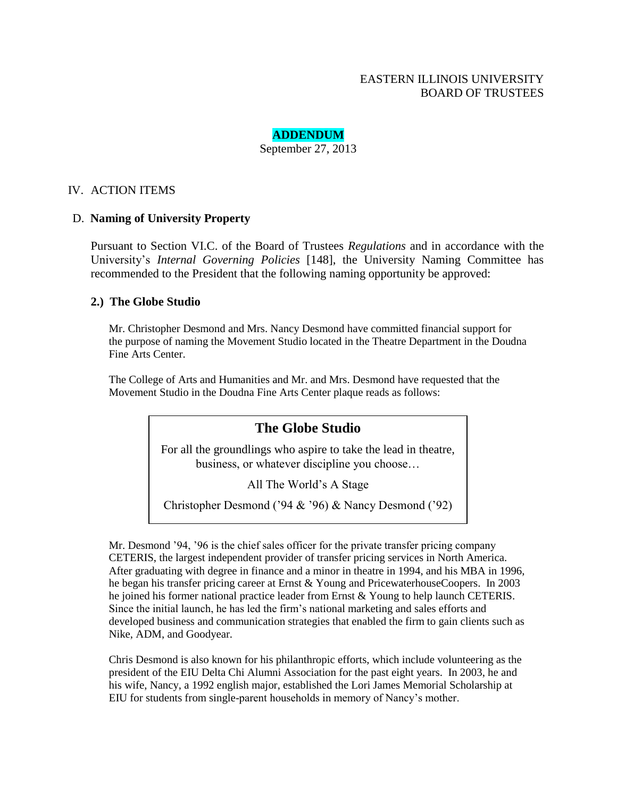# EASTERN ILLINOIS UNIVERSITY BOARD OF TRUSTEES

# **ADDENDUM**

September 27, 2013

## IV. ACTION ITEMS

#### D. **Naming of University Property**

Pursuant to Section VI.C. of the Board of Trustees *Regulations* and in accordance with the University's *Internal Governing Policies* [148], the University Naming Committee has recommended to the President that the following naming opportunity be approved:

#### **2.) The Globe Studio**

Mr. Christopher Desmond and Mrs. Nancy Desmond have committed financial support for the purpose of naming the Movement Studio located in the Theatre Department in the Doudna Fine Arts Center.

The College of Arts and Humanities and Mr. and Mrs. Desmond have requested that the Movement Studio in the Doudna Fine Arts Center plaque reads as follows:

# **The Globe Studio**

For all the groundlings who aspire to take the lead in theatre, business, or whatever discipline you choose…

All The World's A Stage

Christopher Desmond ('94 & '96) & Nancy Desmond ('92)

Mr. Desmond '94, '96 is the chief sales officer for the private transfer pricing company CETERIS, the largest independent provider of transfer pricing services in North America. After graduating with degree in finance and a minor in theatre in 1994, and his MBA in 1996, he began his transfer pricing career at Ernst & Young and PricewaterhouseCoopers. In 2003 he joined his former national practice leader from Ernst & Young to help launch CETERIS. Since the initial launch, he has led the firm's national marketing and sales efforts and developed business and communication strategies that enabled the firm to gain clients such as Nike, ADM, and Goodyear.

Chris Desmond is also known for his philanthropic efforts, which include volunteering as the president of the EIU Delta Chi Alumni Association for the past eight years. In 2003, he and his wife, Nancy, a 1992 english major, established the Lori James Memorial Scholarship at EIU for students from single-parent households in memory of Nancy's mother.